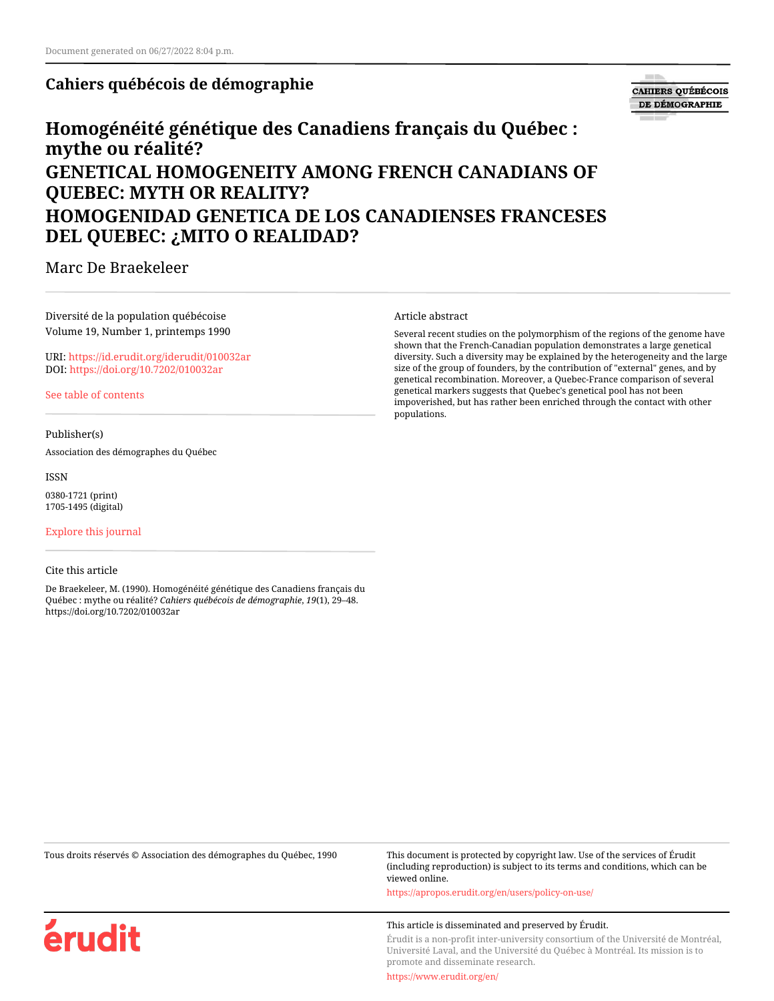# **Cahiers québécois de démographie**



# **Homogénéité génétique des Canadiens français du Québec : mythe ou réalité? GENETICAL HOMOGENEITY AMONG FRENCH CANADIANS OF QUEBEC: MYTH OR REALITY? HOMOGENIDAD GENETICA DE LOS CANADIENSES FRANCESES DEL QUEBEC: ¿MITO O REALIDAD?**

Marc De Braekeleer

### Diversité de la population québécoise Volume 19, Number 1, printemps 1990

URI:<https://id.erudit.org/iderudit/010032ar> DOI:<https://doi.org/10.7202/010032ar>

[See table of contents](https://www.erudit.org/en/journals/cqd/1990-v19-n1-cqd568/)

#### Publisher(s)

Association des démographes du Québec

ISSN

0380-1721 (print) 1705-1495 (digital)

[Explore this journal](https://www.erudit.org/en/journals/cqd/)

#### Cite this article

érudit

De Braekeleer, M. (1990). Homogénéité génétique des Canadiens français du Québec : mythe ou réalité? *Cahiers québécois de démographie*, *19*(1), 29–48. https://doi.org/10.7202/010032ar

#### Article abstract

Several recent studies on the polymorphism of the regions of the genome have shown that the French-Canadian population demonstrates a large genetical diversity. Such a diversity may be explained by the heterogeneity and the large size of the group of founders, by the contribution of "external" genes, and by genetical recombination. Moreover, a Quebec-France comparison of several genetical markers suggests that Quebec's genetical pool has not been impoverished, but has rather been enriched through the contact with other populations.

Tous droits réservés © Association des démographes du Québec, 1990 This document is protected by copyright law. Use of the services of Érudit (including reproduction) is subject to its terms and conditions, which can be viewed online.

<https://apropos.erudit.org/en/users/policy-on-use/>

#### This article is disseminated and preserved by Érudit.

Érudit is a non-profit inter-university consortium of the Université de Montréal, Université Laval, and the Université du Québec à Montréal. Its mission is to promote and disseminate research.

<https://www.erudit.org/en/>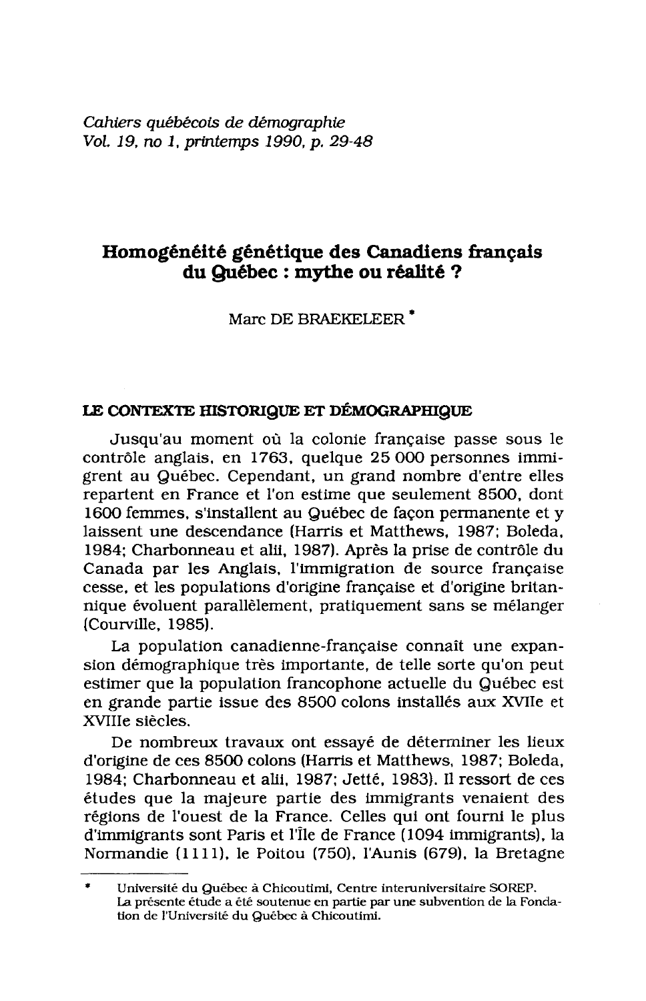Cahiers québécois de démographie Vol. 19, no 1, printemps 1990, p. 29-48

# Homogénéité génétique des Canadiens français du Québec : mythe ou réalité ?

Marc DE BRAEKELEER<sup>\*</sup>

#### LE CONTEXTE HISTORIQUE ET DÉMOGRAPHIQUE

Jusqu'au moment où la colonie française passe sous le contrôle anglais, en 1763, quelque 25 000 personnes immigrent au Québec. Cependant, un grand nombre d'entre elles repartent en France et l'on estime que seulement 8500, dont 1600 femmes, s'installent au Québec de façon permanente et y laissent une descendance (Harris et Matthews, 1987; Boleda, 1984: Charbonneau et alii, 1987). Après la prise de contrôle du Canada par les Anglais, l'immigration de source française cesse, et les populations d'origine française et d'origine britannique évoluent parallèlement, pratiquement sans se mélanger (Courville, 1985).

La population canadienne-française connaît une expansion démographique très importante, de telle sorte qu'on peut estimer que la population francophone actuelle du Québec est en grande partie issue des 8500 colons installés aux XVIIe et XVIIIe siècles.

De nombreux travaux ont essayé de déterminer les lieux d'origine de ces 8500 colons (Harris et Matthews, 1987; Boleda, 1984: Charbonneau et alii. 1987: Jetté. 1983). Il ressort de ces études que la majeure partie des immigrants venaient des régions de l'ouest de la France. Celles qui ont fourni le plus d'immigrants sont Paris et l'Île de France (1094 immigrants), la Normandie (1111), le Poitou (750), l'Aunis (679), la Bretagne

Université du Québec à Chicoutimi, Centre interuniversitaire SOREP. La présente étude a été soutenue en partie par une subvention de la Fondation de l'Université du Québec à Chicoutimi.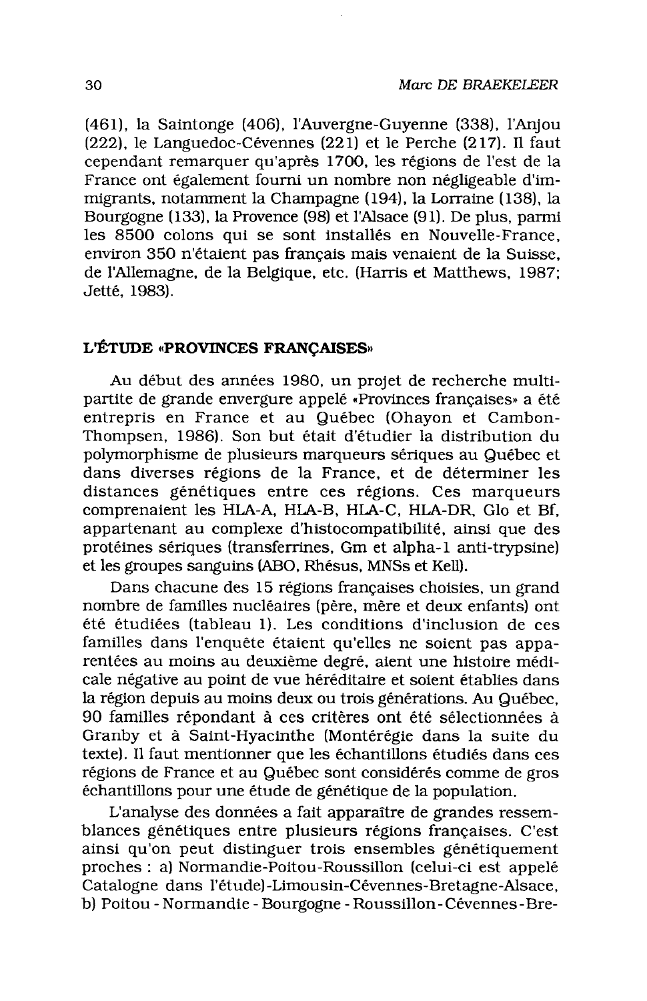(461), la Saintonge (406), l'Auvergne-Guyenne (338), l'Anjou (222), le Languedoc-Cévennes (221) et le Perche (217). Il faut cependant remarquer qu'après 1700, les régions de l'est de la France ont également fourni un nombre non négligeable d'immigrants, notamment la Champagne (194), la Lorraine (138), la Bourgogne (133), la Provence (98) et l'Alsace (91). De plus, parmi les 8500 colons qui se sont installés en Nouvelle-France. environ 350 n'étaient pas français mais venaient de la Suisse. de l'Allemagne, de la Belgique, etc. (Harris et Matthews, 1987; Jetté, 1983).

#### L'ÉTUDE «PROVINCES FRANCAISES»

Au début des années 1980, un projet de recherche multipartite de grande envergure appelé «Provinces françaises» a été entrepris en France et au Québec (Ohavon et Cambon-Thompsen, 1986). Son but était d'étudier la distribution du polymorphisme de plusieurs marqueurs sériques au Québec et dans diverses régions de la France, et de déterminer les distances génétiques entre ces régions. Ces marqueurs comprenaient les HLA-A, HLA-B, HLA-C, HLA-DR, Glo et Bf. appartenant au complexe d'histocompatibilité, ainsi que des protéines sériques (transferrines, Gm et alpha-1 anti-trypsine) et les groupes sanguins (ABO, Rhésus, MNSs et Kell).

Dans chacune des 15 régions françaises choisies, un grand nombre de familles nucléaires (père, mère et deux enfants) ont été étudiées (tableau 1). Les conditions d'inclusion de ces familles dans l'enquête étaient qu'elles ne soient pas apparentées au moins au deuxième degré, aient une histoire médicale négative au point de vue héréditaire et soient établies dans la région depuis au moins deux ou trois générations. Au Québec, 90 familles répondant à ces critères ont été sélectionnées à Granby et à Saint-Hyacinthe (Montérégie dans la suite du texte). Il faut mentionner que les échantillons étudiés dans ces régions de France et au Québec sont considérés comme de gros échantillons pour une étude de génétique de la population.

L'analyse des données a fait apparaître de grandes ressemblances génétiques entre plusieurs régions françaises. C'est ainsi qu'on peut distinguer trois ensembles génétiquement proches : a) Normandie-Poitou-Roussillon (celui-ci est appelé Catalogne dans l'étude)-Limousin-Cévennes-Bretagne-Alsace. b) Poitou - Normandie - Bourgogne - Roussillon - Cévennes - Bre-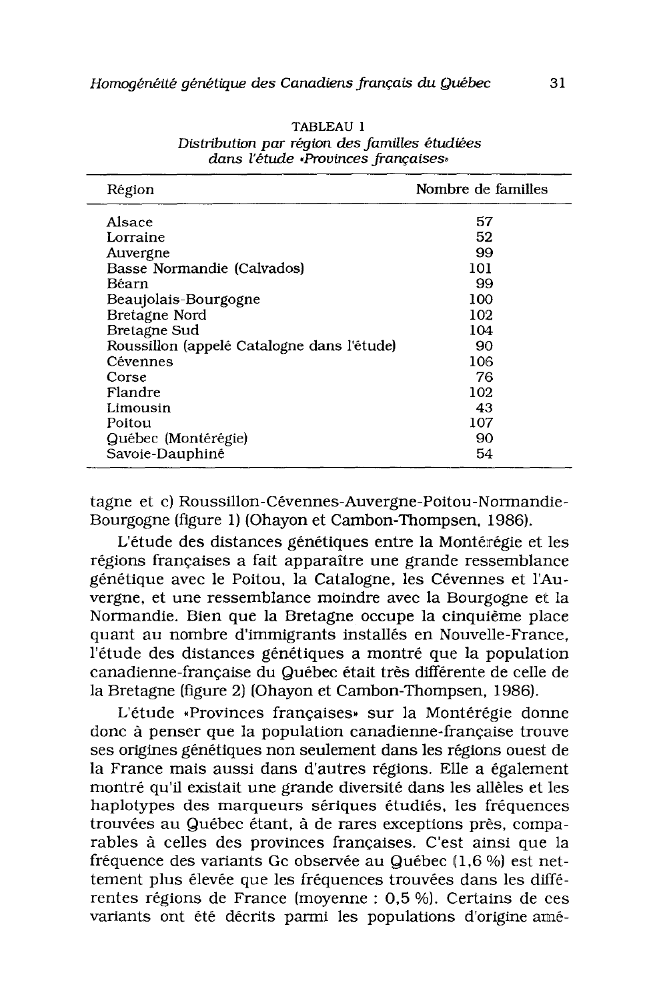| Région                                     | Nombre de familles |
|--------------------------------------------|--------------------|
| Alsace                                     | 57                 |
| Lorraine                                   | 52                 |
| Auvergne                                   | 99                 |
| Basse Normandie (Calvados)                 | 101                |
| Béarn                                      | 99                 |
| Beaujolais-Bourgogne                       | 100                |
| Bretagne Nord                              | 102                |
| Bretagne Sud                               | 104                |
| Roussillon (appelé Catalogne dans l'étude) | 90                 |
| Cévennes                                   | 106                |
| Corse                                      | 76                 |
| Flandre                                    | 102                |
| Limousin                                   | 43                 |
| Poitou                                     | 107                |
| Québec (Montérégie)                        | 90                 |
| Savoie-Dauphiné                            | 54                 |

TABLEAU 1 Distribution par région des familles étudiées dans l'étude Provinces françaises»

tagne et c) Roussillon-Cévennes-Auvergne-Poitou-Normandie-Bourgogne (figure 1) (Ohayon et Cambon-Thompsen, 1986).

L'étude des distances génétiques entre la Montérégie et les régions françaises a fait apparaître une grande ressemblance génétique avec le Poitou. la Catalogne, les Cévennes et l'Auvergne, et une ressemblance moindre avec la Bourgogne et la Normandie. Bien que la Bretagne occupe la cinquième place quant au nombre d'immigrants installés en Nouvelle-France, l'étude des distances génétiques a montré que la population canadienne-française du Québec était très différente de celle de la Bretagne (figure 2) (Ohayon et Cambon-Thompsen, 1986).

L'étude «Provinces françaises» sur la Montérégie donne donc à penser que la population canadienne-française trouve ses origines génétiques non seulement dans les régions ouest de la France mais aussi dans d'autres régions. Elle a également montré qu'il existait une grande diversité dans les allèles et les haplotypes des marqueurs sériques étudiés, les fréquences trouvées au Québec étant, à de rares exceptions près, comparables à celles des provinces françaises. C'est ainsi que la fréquence des variants Gc observée au Québec (1,6 %) est nettement plus élevée que les fréquences trouvées dans les différentes régions de France (moyenne : 0,5 %). Certains de ces variants ont été décrits parmi les populations d'origine amé-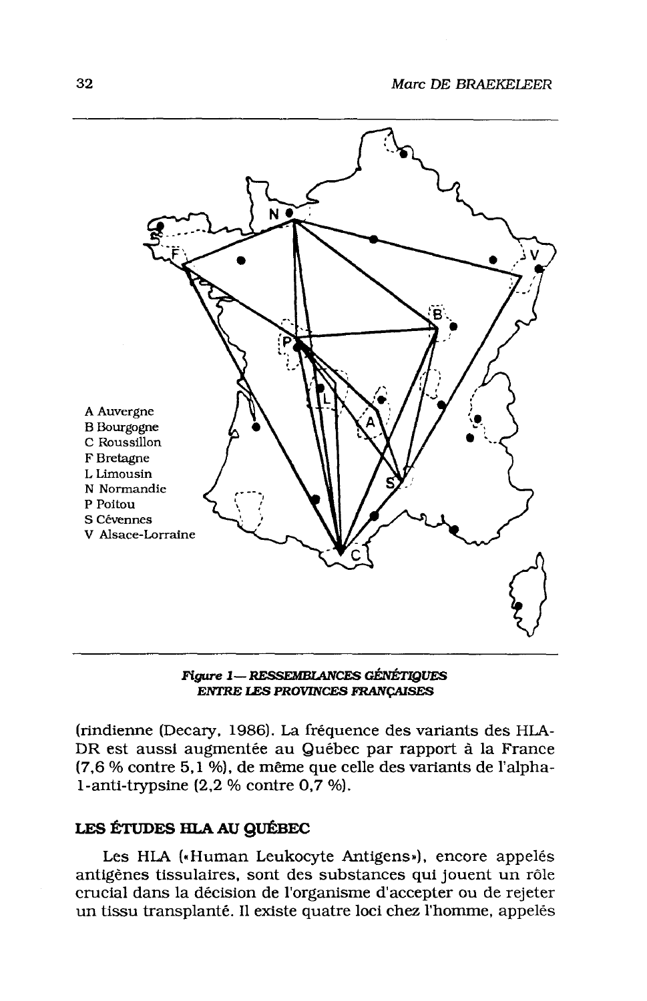

**Figure 1— RESSEMBLANCES GÉNÉTIQUES ENTRE LES PROVINCES FRANÇAISES** 

(rindienne (Decary, 1986). La fréquence des variants des HLA-DR est aussi augmentée au Québec par rapport à la France (7,6 % contre 5,1 %), de même que celle des variants de l'alpha-1-anti-trypsine  $(2.2 %$  contre  $0.7 %$ .

#### LES ÉTUDES HLA AU QUÉBEC

Les HLA («Human Leukocyte Antigens»), encore appelés antigènes tissulaires, sont des substances qui jouent un rôle crucial dans la décision de l'organisme d'accepter ou de rejeter un tissu transplanté. Il existe quatre loci chez l'homme, appelés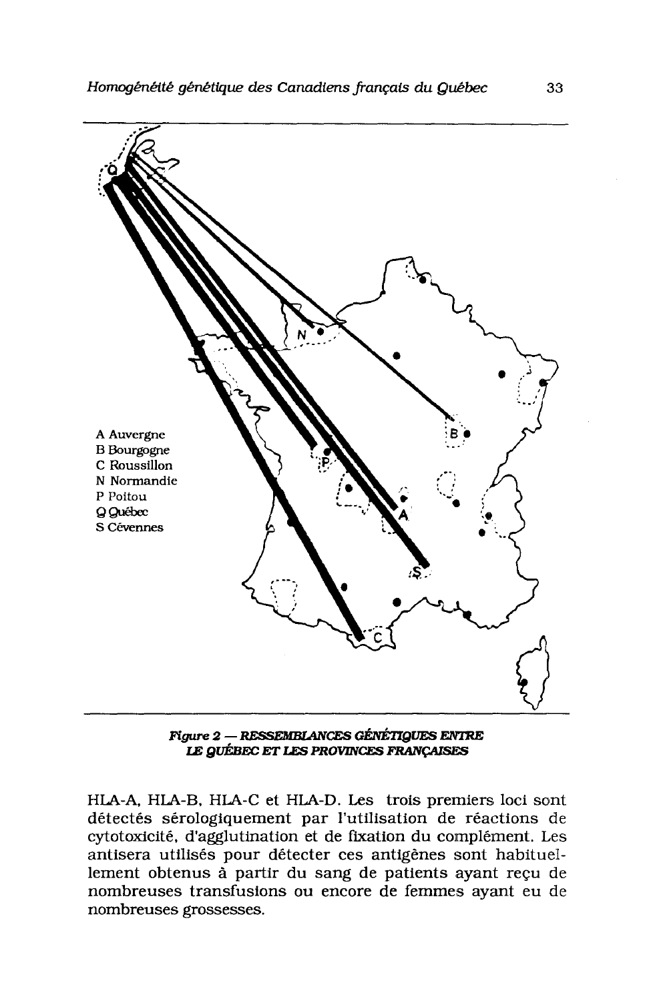

**Figure 2 – RESSEMBLANCES GÉNÉTIQUES ENTRE** LE QUÉBEC ET LES PROVINCES FRANÇAISES

HLA-A, HLA-B, HLA-C et HLA-D. Les trois premiers loci sont détectés sérologiquement par l'utilisation de réactions de cytotoxicité, d'agglutination et de fixation du complément. Les antisera utilisés pour détecter ces antigênes sont habituellement obtenus à partir du sang de patients ayant reçu de nombreuses transfusions ou encore de femmes ayant eu de nombreuses grossesses.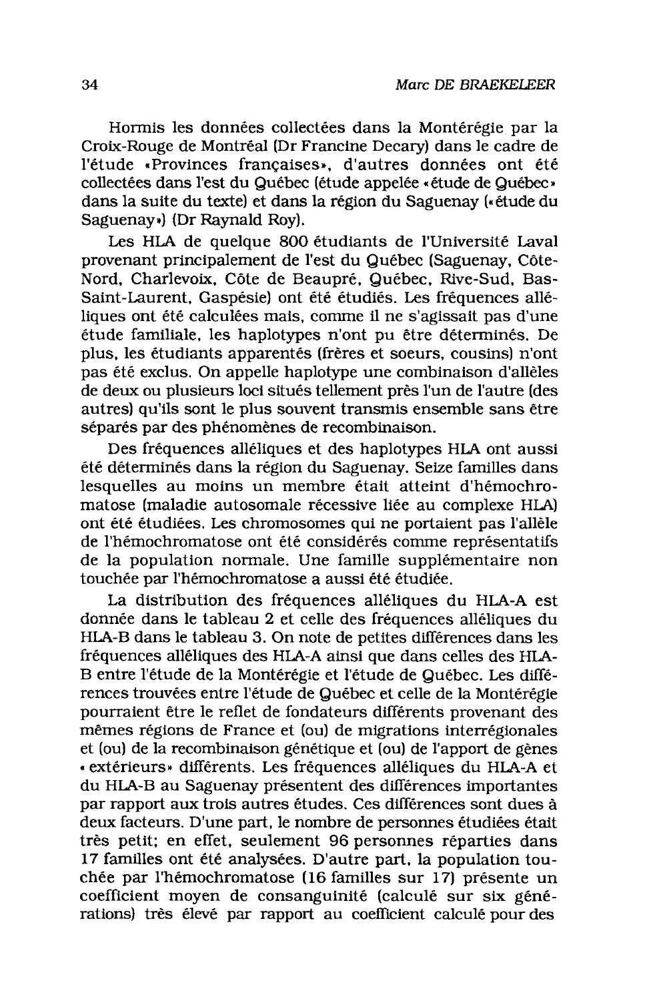Hormis les données collectées dans la Montérégie par la Croix-Rouge de Montréal (Dr Francine Decary) dans le cadre de l'étude «Provinces françaises», d'autres données ont été collectées dans l'est du Québec (étude appelée «étude de Québec» dans la suite du texte) et dans la région du Saguenay (« étude du Saguenay») (Dr Raynald Roy).

Les HLA de quelque 800 étudiants de l'Université Laval provenant principalement de l'est du Québec (Saguenay, Côte-Nord, Charlevoix, Côte de Beaupré, Québec, Rive-Sud, Bas-Saint-Laurent, Gaspésie) ont été étudiés. Les fréquences alléliques ont été calculées mais, comme il ne s'agissait pas d'une étude familiale, les haplotypes n'ont pu être déterminés. De plus, les étudiants apparentés (frères et soeurs, cousins) n'ont pas été exclus. On appelle haplotype une combinaison d'allèles de deux ou plusieurs loci situés tellement près l'un de l'autre (des autres) qu'ils sont le plus souvent transmis ensemble sans être séparés par des phénomènes de recombinaison.

Des fréquences alléliques et des haplotypes HLA ont aussi été déterminés dans la région du Saguenay. Seize familles dans lesquelles au moins un membre était atteint d'hémochromatose (maladie autosomale récessive liée au complexe HLA) ont été étudiées. Les chromosomes qui ne portaient pas l'allèle de l'hémochromatose ont été considérés comme représentatifs de la population normale. Une famille supplémentaire non touchée par l'hémochromatose a aussi été étudiée.

La distribution des fréquences alléliques du HLA-A est donnée dans le tableau 2 et celle des fréquences alléliques du HLA-B dans le tableau 3. On note de petites différences dans les fréquences alléliques des HLA-A ainsi que dans celles des HLA-B entre l'étude de la Montérégie et l'étude de Québec. Les différences trouvées entre l'étude de Québec et celle de la Montérégie pourraient être le reflet de fondateurs différents provenant des mêmes régions de France et (ou) de migrations interrégionales et (ou) de la recombinaison génétique et (ou) de l'apport de gènes « extérieurs » différents. Les fréquences alléliques du HLA-A et du HLA-B au Saguenay présentent des différences importantes par rapport aux trois autres études. Ces différences sont dues à deux facteurs. D'une part, le nombre de personnes étudiées était très petit; en effet, seulement 96 personnes réparties dans 17 familles ont été analysées. D'autre part, la population touchée par l'hémochromatose (16 familles sur 17) présente un coefficient moyen de consanguinité (calculé sur six générations) très élevé par rapport au coefficient calculé pour des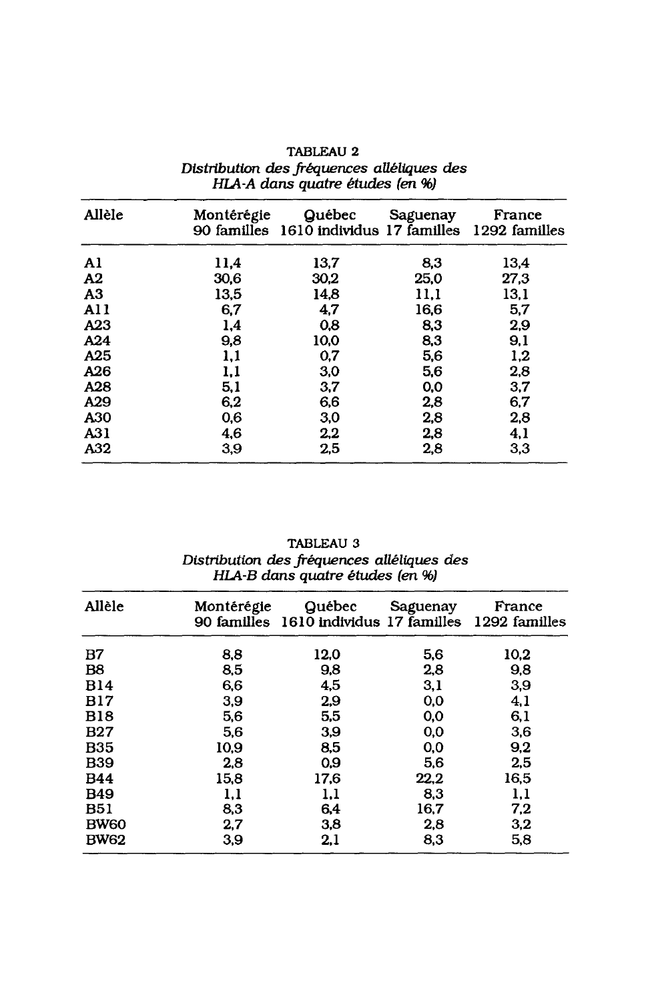| Allèle          | Montérégie | Québec<br>90 familles 1610 individus 17 familles | Saguenay | France<br>1292 familles |
|-----------------|------------|--------------------------------------------------|----------|-------------------------|
| Al              | 11,4       | 13,7                                             | 8,3      | 13.4                    |
| A <sub>2</sub>  | 30.6       | 30.2                                             | 25.0     | 27.3                    |
| A <sub>3</sub>  | 13,5       | 14.8                                             | 11.1     | 13.1                    |
| AI <sub>1</sub> | 6,7        | 4,7                                              | 16,6     | 5,7                     |
| A23             | 1,4        | 0,8                                              | 8,3      | 2,9                     |
| A24             | 9,8        | 10,0                                             | 8,3      | 9,1                     |
| A25             | 1,1        | 0.7                                              | 5,6      | 1,2                     |
| A26             | 1,1        | 3,0                                              | 5,6      | 2,8                     |
| A28             | 5,1        | 3,7                                              | 0.0      | 3,7                     |
| A29             | 6,2        | 6,6                                              | 2,8      | 6,7                     |
| A30             | 0,6        | 3,0                                              | 2,8      | 2,8                     |
| A31             | 4,6        | 2,2                                              | 2.8      | 4,1                     |
| A32             | 3,9        | 2,5                                              | 2,8      | 3.3                     |

# TABLEAU 2 Distribution des fréquences alléliques des<br>HLA-A dans quatre études (en %)

TABLEAU 3 Distribution des fréquences alléliques des<br>HLA-B dans quatre études (en %)

| Allèle      | Montérégie | Québec<br>90 familles 1610 individus 17 familles 1292 familles | Saguenay | France |
|-------------|------------|----------------------------------------------------------------|----------|--------|
| B7          | 8,8        | 12,0                                                           | 5,6      | 10.2   |
| B8          | 8,5        | 9,8                                                            | 2,8      | 9,8    |
| <b>B14</b>  | 6.6        | 4,5                                                            | 3,1      | 3,9    |
| <b>B17</b>  | 3,9        | 2,9                                                            | 0,0      | 4,1    |
| <b>B18</b>  | 5,6        | 5,5                                                            | 0,0      | 6,1    |
| <b>B27</b>  | 5,6        | 3.9                                                            | 0.0      | 3,6    |
| <b>B35</b>  | 10.9       | 8.5                                                            | 0,0      | 9,2    |
| <b>B39</b>  | 2.8        | 0,9                                                            | 5.6      | 2,5    |
| <b>B44</b>  | 15,8       | 17,6                                                           | 22,2     | 16,5   |
| <b>B49</b>  | 1,1        | 1,1                                                            | 8,3      | 1,1    |
| <b>B51</b>  | 8,3        | 6,4                                                            | 16,7     | 7,2    |
| <b>BW60</b> | 2,7        | 3,8                                                            | 2.8      | 3,2    |
| <b>BW62</b> | 3,9        | 2,1                                                            | 8.3      | 5,8    |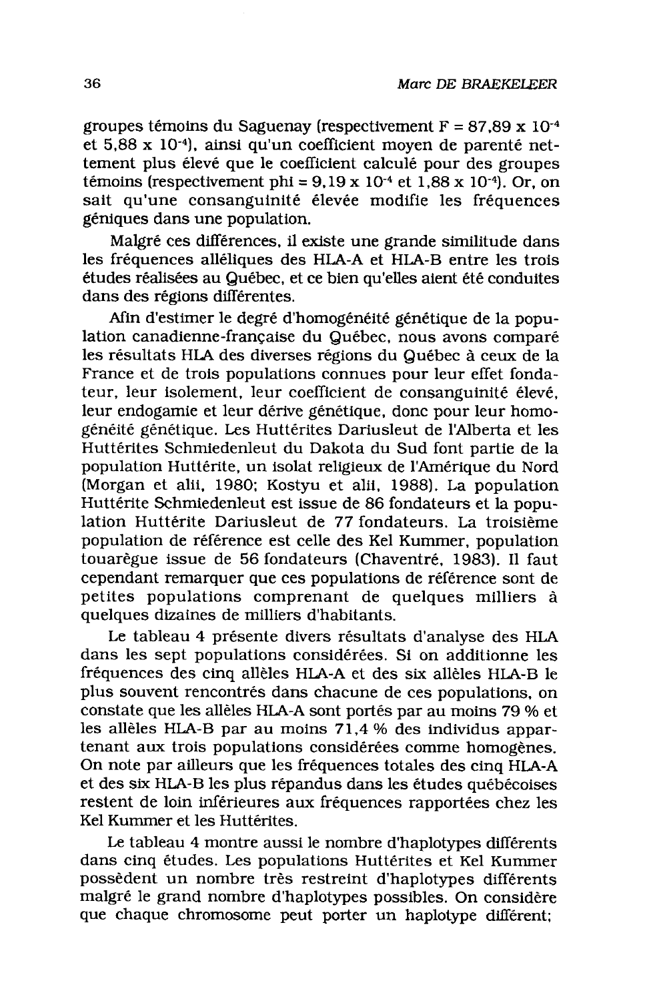groupes témoins du Saguenay (respectivement  $F = 87.89 \times 10^{-4}$ et 5,88 x 10<sup>-4</sup>), ainsi qu'un coefficient moyen de parenté nettement plus élevé que le coefficient calculé pour des groupes témoins (respectivement phi =  $9,19 \times 10^{-4}$  et 1,88 x 10<sup>-4</sup>). Or, on sait qu'une consanguinité élevée modifie les fréquences géniques dans une population.

Malgré ces différences, il existe une grande similitude dans les fréquences alléliques des HLA-A et HLA-B entre les trois études réalisées au Québec, et ce bien qu'elles aient été conduites dans des régions différentes.

Afin d'estimer le degré d'homogénéité génétique de la population canadienne-française du Québec, nous avons comparé les résultats HLA des diverses régions du Québec à ceux de la France et de trois populations connues pour leur effet fondateur, leur isolement, leur coefficient de consanguinité élevé. leur endogamie et leur dérive génétique, donc pour leur homogénéité génétique. Les Huttérites Dariusleut de l'Alberta et les Huttérites Schmiedenleut du Dakota du Sud font partie de la population Huttérite, un isolat religieux de l'Amérique du Nord (Morgan et alii, 1980; Kostyu et alii, 1988). La population Huttérite Schmiedenleut est issue de 86 fondateurs et la population Huttérite Dariusleut de 77 fondateurs. La troisième population de référence est celle des Kel Kummer, population touarègue issue de 56 fondateurs (Chaventré, 1983). Il faut cependant remarquer que ces populations de référence sont de petites populations comprenant de quelques milliers à quelques dizaines de milliers d'habitants.

Le tableau 4 présente divers résultats d'analyse des HLA dans les sept populations considérées. Si on additionne les fréquences des cinq allèles HLA-A et des six allèles HLA-B le plus souvent rencontrés dans chacune de ces populations, on constate que les allèles HLA-A sont portés par au moins 79 % et les allèles HLA-B par au moins 71,4 % des individus appartenant aux trois populations considérées comme homogènes. On note par ailleurs que les fréquences totales des cinq HLA-A et des six HLA-B les plus répandus dans les études québécoises restent de loin inférieures aux fréquences rapportées chez les Kel Kummer et les Huttérites.

Le tableau 4 montre aussi le nombre d'haplotypes différents dans cinq études. Les populations Huttérites et Kel Kummer possèdent un nombre très restreint d'haplotypes différents malgré le grand nombre d'haplotypes possibles. On considère que chaque chromosome peut porter un haplotype différent;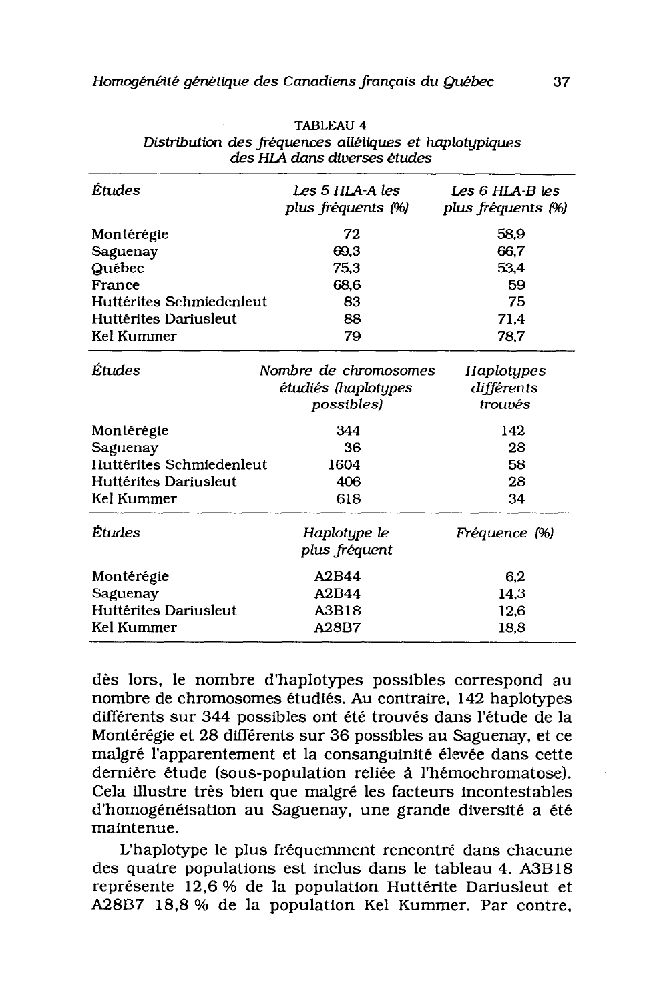| Études                   | Les 5 HLA-A les<br>plus fréquents (%) | Les 6 HLA-B les<br>plus fréquents (%) |
|--------------------------|---------------------------------------|---------------------------------------|
| Montérégie               | 72                                    | 58.9                                  |
| Saguenay                 | 69.3                                  | 66.7                                  |
| Québec                   | 75.3                                  | 53.4                                  |
| France                   | 68.6                                  | 59                                    |
| Huttérites Schmiedenleut | 83                                    | 75                                    |
| Huttérites Dariusleut    | 88                                    | 71.4                                  |
| Kel Kummer               | 79                                    | 78,7                                  |
| Études                   | Nombre de chromosomes                 | Haplotypes                            |
|                          | étudiés (haplotypes                   | différents                            |
|                          | possibles)                            | trouvés                               |
| Montérégie               | 344                                   | 142                                   |
| Saguenay                 | 36                                    | 28                                    |
| Huttérites Schmiedenleut | 1604                                  | 58                                    |
| Huttérites Dariusleut    | 406                                   | 28                                    |
| Kel Kummer               | 618                                   | 34                                    |
| Études                   | Haplotype le<br>plus fréquent         | Fréquence (%)                         |
| Montérégie               | A2B44                                 | 6.2                                   |
| Saguenay                 | A2B44                                 | 14.3                                  |
| Huttérites Dariusleut    | A3B18                                 | 12.6                                  |
| Kel Kummer               | A28B7                                 | 18,8                                  |
|                          |                                       |                                       |

**TABLEAU 4** Distribution des fréquences alléliques et haplotypiques des HLA dans diverses études

dès lors, le nombre d'haplotypes possibles correspond au nombre de chromosomes étudiés. Au contraire, 142 haplotypes différents sur 344 possibles ont été trouvés dans l'étude de la Montérégie et 28 différents sur 36 possibles au Saguenay, et ce malgré l'apparentement et la consanguinité élevée dans cette dernière étude (sous-population reliée à l'hémochromatose). Cela illustre très bien que malgré les facteurs incontestables d'homogénéisation au Saguenay, une grande diversité a été maintenue.

L'haplotype le plus fréquemment rencontré dans chacune des quatre populations est inclus dans le tableau 4. A3B18 représente 12,6 % de la population Huttérite Dariusleut et A28B7 18,8 % de la population Kel Kummer. Par contre,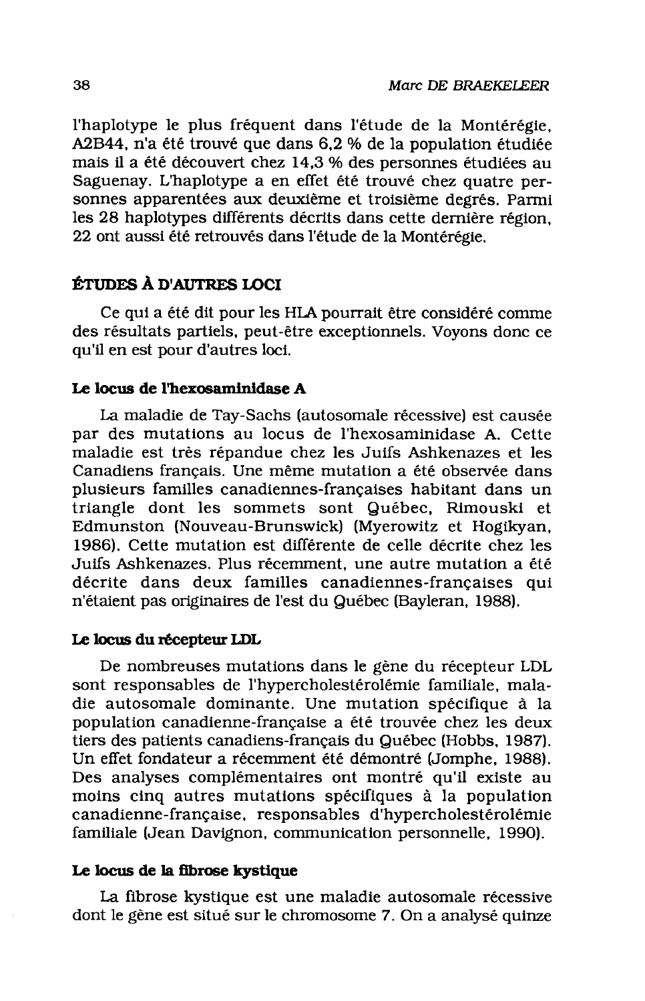l'haplotype le plus fréquent dans l'étude de la Montérégie. A2B44, n'a été trouvé que dans 6,2 % de la population étudiée mais il a été découvert chez 14,3 % des personnes étudiées au Saguenay. L'haplotype a en effet été trouvé chez quatre personnes apparentées aux deuxième et troisième degrés. Parmi les 28 haplotypes différents décrits dans cette dernière région. 22 ont aussi été retrouvés dans l'étude de la Montérégie.

# ÉTUDES À D'AUTRES LOCI

Ce qui a été dit pour les HLA pourrait être considéré comme des résultats partiels, peut-être exceptionnels. Voyons donc ce qu'il en est pour d'autres loci.

#### Le locus de l'hexosaminidase A

La maladie de Tay-Sachs (autosomale récessive) est causée par des mutations au locus de l'hexosaminidase A. Cette maladie est très répandue chez les Juifs Ashkenazes et les Canadiens français. Une même mutation a été observée dans plusieurs familles canadiennes-françaises habitant dans un triangle dont les sommets sont Québec, Rimouski et Edmunston (Nouveau-Brunswick) (Myerowitz et Hogikyan, 1986). Cette mutation est différente de celle décrite chez les Juifs Ashkenazes. Plus récemment, une autre mutation a été décrite dans deux familles canadiennes-françaises qui n'étaient pas originaires de l'est du Québec (Bayleran, 1988).

## Le locus du récepteur LDL

De nombreuses mutations dans le gène du récepteur LDL sont responsables de l'hypercholestérolémie familiale, maladie autosomale dominante. Une mutation spécifique à la population canadienne-française a été trouvée chez les deux tiers des patients canadiens-français du Québec (Hobbs, 1987). Un effet fondateur a récemment été démontré (Jomphe, 1988). Des analyses complémentaires ont montré qu'il existe au moins cinq autres mutations spécifiques à la population canadienne-française, responsables d'hypercholestérolémie familiale (Jean Davignon, communication personnelle, 1990).

#### Le locus de la fibrose kystique

La fibrose kystique est une maladie autosomale récessive dont le gène est situé sur le chromosome 7. On a analysé quinze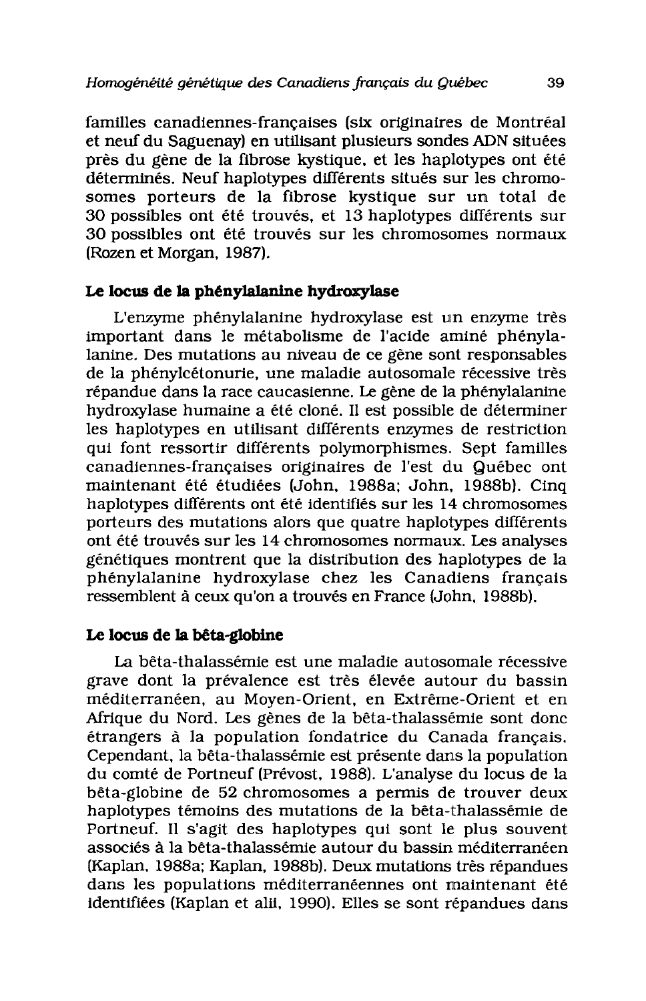familles canadiennes-françaises (six originaires de Montréal et neuf du Saguenay) en utilisant plusieurs sondes ADN situées près du gène de la fibrose kystique, et les haplotypes ont été déterminés. Neuf haplotypes différents situés sur les chromosomes porteurs de la fibrose kystique sur un total de 30 possibles ont été trouvés, et 13 haplotypes différents sur 30 possibles ont été trouvés sur les chromosomes normaux (Rozen et Morgan, 1987).

# Le locus de la phénylalanine hydroxylase

L'enzyme phénylalanine hydroxylase est un enzyme très important dans le métabolisme de l'acide aminé phénylalanine. Des mutations au niveau de ce gène sont responsables de la phénylcétonurie, une maladie autosomale récessive très répandue dans la race caucasienne. Le gène de la phénylalanine hydroxylase humaine a été cloné. Il est possible de déterminer les haplotypes en utilisant différents enzymes de restriction qui font ressortir différents polymorphismes. Sept familles canadiennes-françaises originaires de l'est du Québec ont maintenant été étudiées (John, 1988a; John, 1988b). Cinq haplotypes différents ont été identifiés sur les 14 chromosomes porteurs des mutations alors que quatre haplotypes différents ont été trouvés sur les 14 chromosomes normaux. Les analyses génétiques montrent que la distribution des haplotypes de la phénylalanine hydroxylase chez les Canadiens français ressemblent à ceux qu'on a trouvés en France (John, 1988b).

## Le locus de la bêta-globine

La bêta-thalassémie est une maladie autosomale récessive grave dont la prévalence est très élevée autour du bassin méditerranéen, au Moyen-Orient, en Extrême-Orient et en Afrique du Nord. Les gènes de la bêta-thalassémie sont donc étrangers à la population fondatrice du Canada français. Cependant, la bêta-thalassémie est présente dans la population du comté de Portneuf (Prévost, 1988). L'analyse du locus de la bêta-globine de 52 chromosomes a permis de trouver deux haplotypes témoins des mutations de la bêta-thalassémie de Portneuf. Il s'agit des haplotypes qui sont le plus souvent associés à la bêta-thalassémie autour du bassin méditerranéen (Kaplan, 1988a; Kaplan, 1988b). Deux mutations très répandues dans les populations méditerranéennes ont maintenant été identifiées (Kaplan et alii, 1990). Elles se sont répandues dans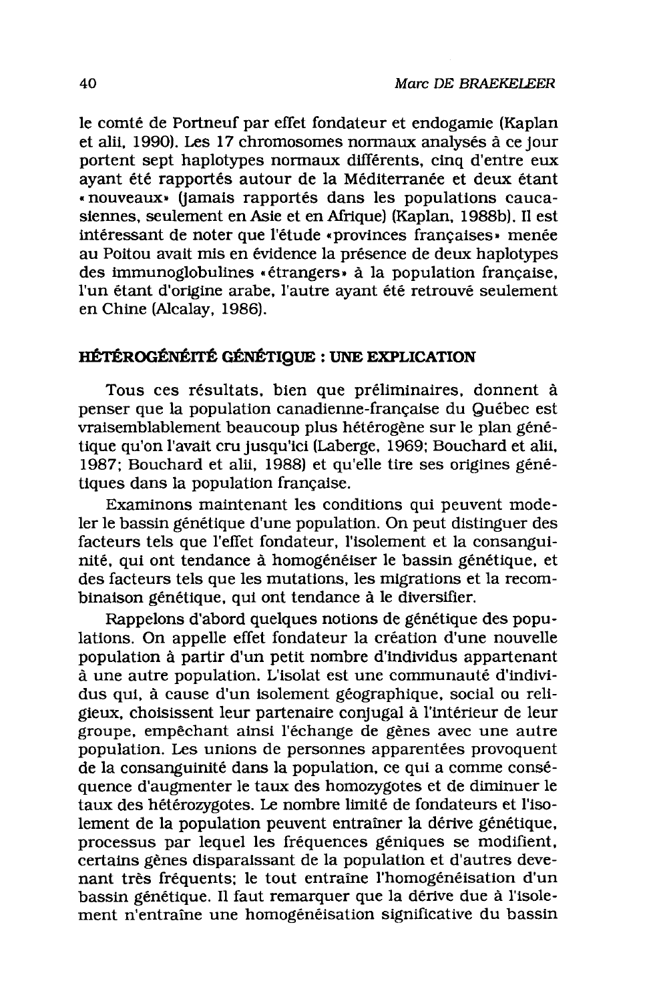le comté de Portneuf par effet fondateur et endogamie (Kaplan et alii, 1990). Les 17 chromosomes normaux analysés à ce jour portent sept haplotypes normaux différents, cinq d'entre eux avant été rapportés autour de la Méditerranée et deux étant « nouveaux» (jamais rapportés dans les populations caucasiennes, seulement en Asie et en Afrique) (Kaplan, 1988b). Il est intéressant de noter que l'étude «provinces françaises» menée au Poitou avait mis en évidence la présence de deux haplotypes des immunoglobulines «étrangers» à la population française. l'un étant d'origine arabe, l'autre ayant été retrouvé seulement en Chine (Alcalay, 1986).

# HÉTÉROGÉNÉITÉ GÉNÉTIQUE : UNE EXPLICATION

Tous ces résultats, bien que préliminaires, donnent à penser que la population canadienne-française du Québec est vraisemblablement beaucoup plus hétérogène sur le plan génétique qu'on l'avait cru jusqu'ici (Laberge, 1969; Bouchard et alii, 1987; Bouchard et alii, 1988) et qu'elle tire ses origines génétiques dans la population française.

Examinons maintenant les conditions qui peuvent modeler le bassin génétique d'une population. On peut distinguer des facteurs tels que l'effet fondateur, l'isolement et la consanguinité, qui ont tendance à homogénéiser le bassin génétique, et des facteurs tels que les mutations, les migrations et la recombinaison génétique, qui ont tendance à le diversifier.

Rappelons d'abord quelques notions de génétique des populations. On appelle effet fondateur la création d'une nouvelle population à partir d'un petit nombre d'individus appartenant à une autre population. L'isolat est une communauté d'individus qui, à cause d'un isolement géographique, social ou religieux, choisissent leur partenaire conjugal à l'intérieur de leur groupe, empêchant ainsi l'échange de gènes avec une autre population. Les unions de personnes apparentées provoquent de la consanguinité dans la population, ce qui a comme conséquence d'augmenter le taux des homozygotes et de diminuer le taux des hétérozygotes. Le nombre limité de fondateurs et l'isolement de la population peuvent entraîner la dérive génétique, processus par lequel les fréquences géniques se modifient, certains gènes disparaissant de la population et d'autres devenant très fréquents; le tout entraîne l'homogénéisation d'un bassin génétique. Il faut remarquer que la dérive due à l'isolement n'entraîne une homogénéisation significative du bassin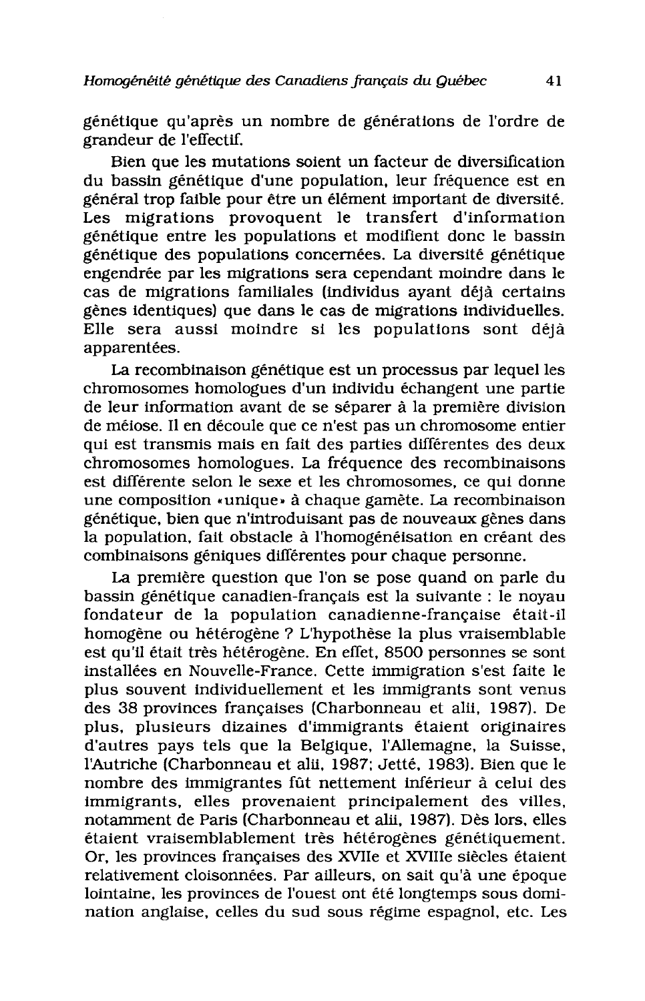génétique qu'après un nombre de générations de l'ordre de grandeur de l'effectif.

Bien que les mutations soient un facteur de diversification du bassin génétique d'une population, leur fréquence est en général trop faible pour être un élément important de diversité. Les migrations provoquent le transfert d'information génétique entre les populations et modifient donc le bassin génétique des populations concernées. La diversité génétique engendrée par les migrations sera cependant moindre dans le cas de migrations familiales (individus avant déjà certains gènes identiques) que dans le cas de migrations individuelles. Elle sera aussi moindre si les populations sont déjà apparentées.

La recombinaison génétique est un processus par lequel les chromosomes homologues d'un individu échangent une partie de leur information avant de se séparer à la première division de méiose. Il en découle que ce n'est pas un chromosome entier qui est transmis mais en fait des parties différentes des deux chromosomes homologues. La fréquence des recombinaisons est différente selon le sexe et les chromosomes, ce qui donne une composition «unique» à chaque gamète. La recombinaison génétique, bien que n'introduisant pas de nouveaux gènes dans la population, fait obstacle à l'homogénéisation en créant des combinaisons géniques différentes pour chaque personne.

La première question que l'on se pose quand on parle du bassin génétique canadien-français est la suivante : le noyau fondateur de la population canadienne-française était-il homogène ou hétérogène ? L'hypothèse la plus vraisemblable est qu'il était très hétérogène. En effet, 8500 personnes se sont installées en Nouvelle-France. Cette immigration s'est faite le plus souvent individuellement et les immigrants sont venus des 38 provinces françaises (Charbonneau et alii, 1987). De plus, plusieurs dizaines d'immigrants étaient originaires d'autres pays tels que la Belgique, l'Allemagne, la Suisse, l'Autriche (Charbonneau et alii, 1987; Jetté, 1983). Bien que le nombre des immigrantes fût nettement inférieur à celui des immigrants, elles provenaient principalement des villes, notamment de Paris (Charbonneau et alii, 1987). Dès lors, elles étaient vraisemblablement très hétérogènes génétiquement. Or, les provinces françaises des XVIIe et XVIIIe siècles étaient relativement cloisonnées. Par ailleurs, on sait qu'à une époque lointaine, les provinces de l'ouest ont été longtemps sous domination anglaise, celles du sud sous régime espagnol, etc. Les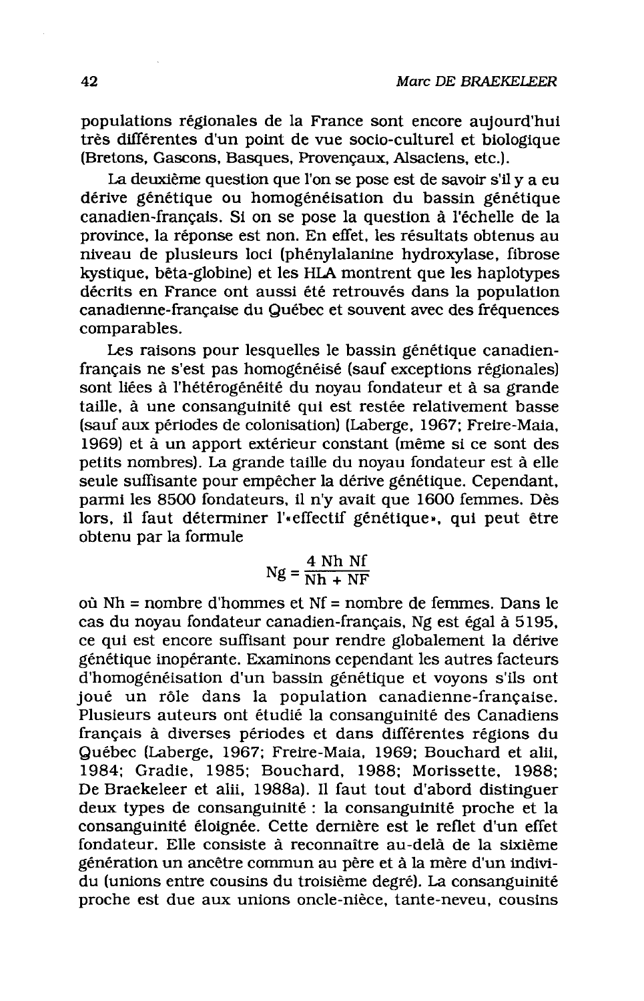populations régionales de la France sont encore aujourd'hui très différentes d'un point de vue socio-culturel et biologique (Bretons, Gascons, Basques, Provençaux, Alsaciens, etc.).

La deuxième question que l'on se pose est de savoir s'il y a eu dérive génétique ou homogénéisation du bassin génétique canadien-français. Si on se pose la question à l'échelle de la province, la réponse est non. En effet, les résultats obtenus au niveau de plusieurs loci (phénylalanine hydroxylase, fibrose kystique. bêta-globine) et les HLA montrent que les haplotypes décrits en France ont aussi été retrouvés dans la population canadienne-française du Québec et souvent avec des fréquences comparables.

Les raisons pour lesquelles le bassin génétique canadienfrançais ne s'est pas homogénéisé (sauf exceptions régionales) sont liées à l'hétérogénéité du noyau fondateur et à sa grande taille, à une consanguinité qui est restée relativement basse (sauf aux périodes de colonisation) (Laberge, 1967; Freire-Maia, 1969) et à un apport extérieur constant (même si ce sont des petits nombres). La grande taille du noyau fondateur est à elle seule suffisante pour empêcher la dérive génétique. Cependant, parmi les 8500 fondateurs, il n'y avait que 1600 femmes. Dès lors, il faut déterminer l'«effectif génétique», qui peut être obtenu par la formule

$$
Ng = \frac{4 \text{ Nh } Nf}{Nh + NF}
$$

où  $Nh =$  nombre d'hommes et  $Nf =$  nombre de femmes. Dans le cas du noyau fondateur canadien-français, Ng est égal à 5195, ce qui est encore suffisant pour rendre globalement la dérive génétique inopérante. Examinons cependant les autres facteurs d'homogénéisation d'un bassin génétique et voyons s'ils ont joué un rôle dans la population canadienne-française. Plusieurs auteurs ont étudié la consanguinité des Canadiens français à diverses périodes et dans différentes régions du Québec (Laberge, 1967; Freire-Maia, 1969; Bouchard et alii. 1984: Gradie, 1985: Bouchard, 1988: Morissette, 1988: De Braekeleer et alii. 1988a). Il faut tout d'abord distinguer deux types de consanguinité : la consanguinité proche et la consanguinité éloignée. Cette dernière est le reflet d'un effet fondateur. Elle consiste à reconnaître au-delà de la sixième génération un ancêtre commun au père et à la mère d'un individu (unions entre cousins du troisième degré). La consanguinité proche est due aux unions oncle-nièce, tante-neveu, cousins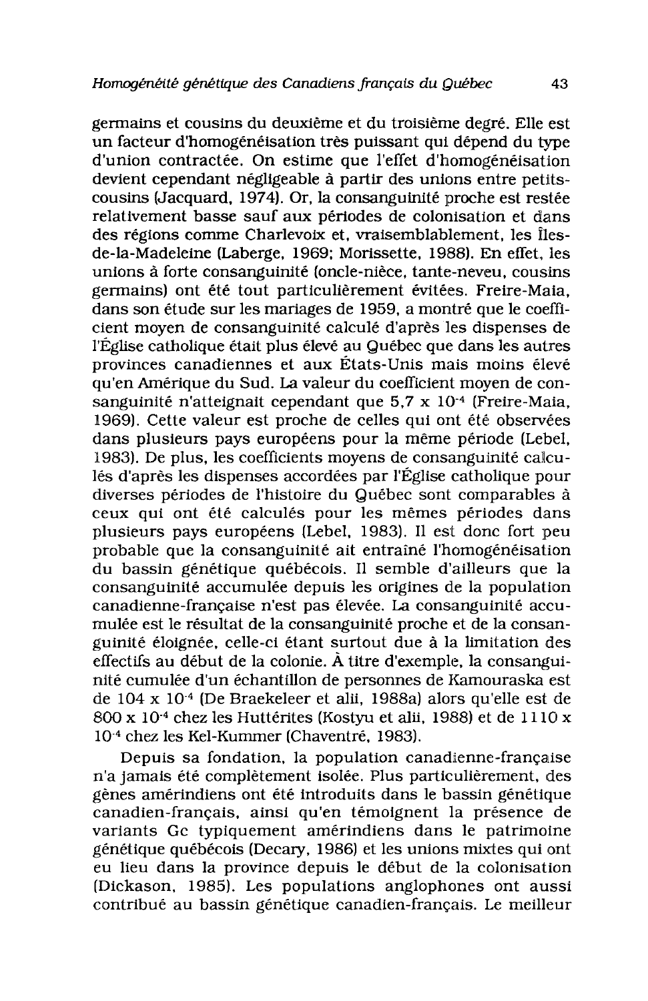germains et cousins du deuxième et du troisième degré. Elle est un facteur d'homogénéisation très puissant qui dépend du type d'union contractée. On estime que l'effet d'homogénéisation devient cependant négligeable à partir des unions entre petitscousins (Jacquard, 1974). Or, la consanguinité proche est restée relativement basse sauf aux périodes de colonisation et dans des régions comme Charlevoix et, vraisemblablement, les Îlesde-la-Madeleine (Laberge, 1969; Morissette, 1988). En effet, les unions à forte consanguinité (oncle-nièce, tante-neveu, cousins germains) ont été tout particulièrement évitées. Freire-Maia. dans son étude sur les mariages de 1959, a montré que le coefficient moven de consanguinité calculé d'après les dispenses de l'Église catholique était plus élevé au Québec que dans les autres provinces canadiennes et aux États-Unis mais moins élevé qu'en Amérique du Sud. La valeur du coefficient moven de consanguinité n'atteignait cependant que  $5.7 \times 10^{-4}$  (Freire-Maia, 1969). Cette valeur est proche de celles qui ont été observées dans plusieurs pays européens pour la même période (Lebel, 1983). De plus, les coefficients moyens de consanguinité calculés d'après les dispenses accordées par l'Église catholique pour diverses périodes de l'histoire du Québec sont comparables à ceux qui ont été calculés pour les mêmes périodes dans plusieurs pays européens (Lebel, 1983). Il est donc fort peu probable que la consanguinité ait entraîné l'homogénéisation du bassin génétique québécois. Il semble d'ailleurs que la consanguinité accumulée depuis les origines de la population canadienne-française n'est pas élevée. La consanguinité accumulée est le résultat de la consanguinité proche et de la consanguinité éloignée, celle-ci étant surtout due à la limitation des effectifs au début de la colonie. À titre d'exemple, la consanguinité cumulée d'un échantillon de personnes de Kamouraska est de 104 x 10<sup>-4</sup> (De Braekeleer et alii, 1988a) alors qu'elle est de 800 x 10<sup>-4</sup> chez les Huttérites (Kostyu et alii, 1988) et de 1110 x 10<sup>-4</sup> chez les Kel-Kummer (Chaventré, 1983).

Depuis sa fondation, la population canadienne-française n'a jamais été complètement isolée. Plus particulièrement, des gènes amérindiens ont été introduits dans le bassin génétique canadien-français, ainsi qu'en témoignent la présence de variants Gc typiquement amérindiens dans le patrimoine génétique québécois (Decary, 1986) et les unions mixtes qui ont eu lieu dans la province depuis le début de la colonisation (Dickason, 1985). Les populations anglophones ont aussi contribué au bassin génétique canadien-français. Le meilleur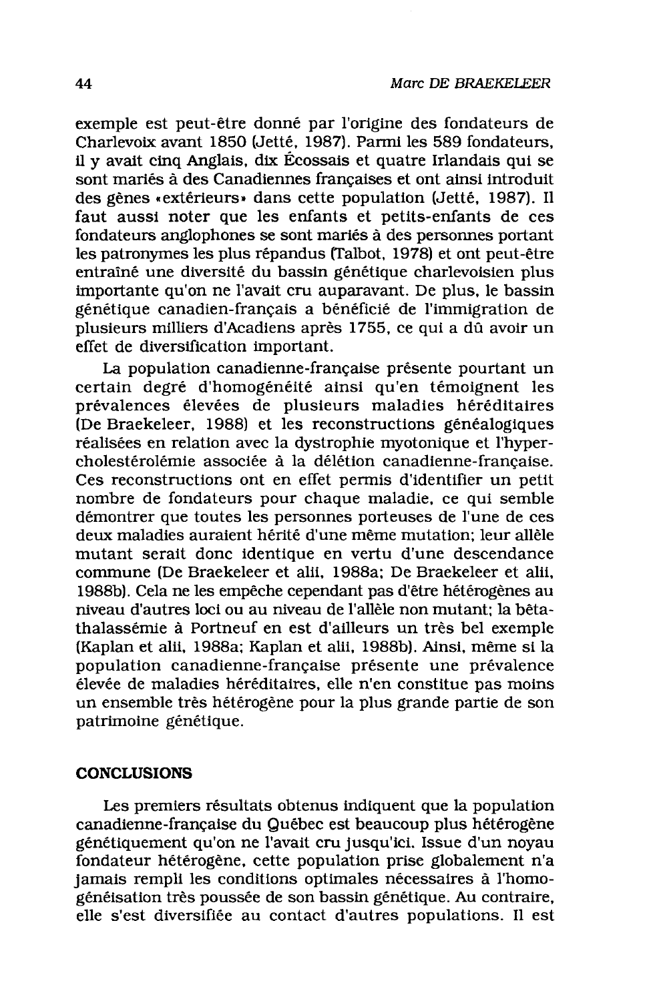exemple est peut-être donné par l'origine des fondateurs de Charlevoix avant 1850 (Jetté, 1987). Parmi les 589 fondateurs, il y avait cinq Anglais, dix Écossais et quatre Irlandais qui se sont mariés à des Canadiennes françaises et ont ainsi introduit des gènes «extérieurs» dans cette population (Jetté, 1987). Il faut aussi noter que les enfants et petits-enfants de ces fondateurs anglophones se sont mariés à des personnes portant les patronymes les plus répandus (Talbot, 1978) et ont peut-être entraîné une diversité du bassin génétique charlevoisien plus importante qu'on ne l'avait cru auparavant. De plus, le bassin génétique canadien-français a bénéficié de l'immigration de plusieurs milliers d'Acadiens après 1755, ce qui a dû avoir un effet de diversification important.

La population canadienne-française présente pourtant un certain degré d'homogénéité ainsi qu'en témoignent les prévalences élevées de plusieurs maladies héréditaires (De Braekeleer, 1988) et les reconstructions généalogiques réalisées en relation avec la dystrophie myotonique et l'hypercholestérolémie associée à la délétion canadienne-française. Ces reconstructions ont en effet permis d'identifier un petit nombre de fondateurs pour chaque maladie, ce qui semble démontrer que toutes les personnes porteuses de l'une de ces deux maladies auraient hérité d'une même mutation: leur allèle mutant serait donc identique en vertu d'une descendance commune (De Braekeleer et alii, 1988a; De Braekeleer et alii, 1988b). Cela ne les empêche cependant pas d'être hétérogènes au niveau d'autres loci ou au niveau de l'allèle non mutant: la bêtathalassémie à Portneuf en est d'ailleurs un très bel exemple (Kaplan et alii, 1988a: Kaplan et alii, 1988b). Ainsi, même si la population canadienne-française présente une prévalence élevée de maladies héréditaires, elle n'en constitue pas moins un ensemble très hétérogène pour la plus grande partie de son patrimoine génétique.

#### **CONCLUSIONS**

Les premiers résultats obtenus indiquent que la population canadienne-française du Québec est beaucoup plus hétérogène génétiquement qu'on ne l'avait cru jusqu'ici. Issue d'un noyau fondateur hétérogène, cette population prise globalement n'a jamais rempli les conditions optimales nécessaires à l'homogénéisation très poussée de son bassin génétique. Au contraire, elle s'est diversifiée au contact d'autres populations. Il est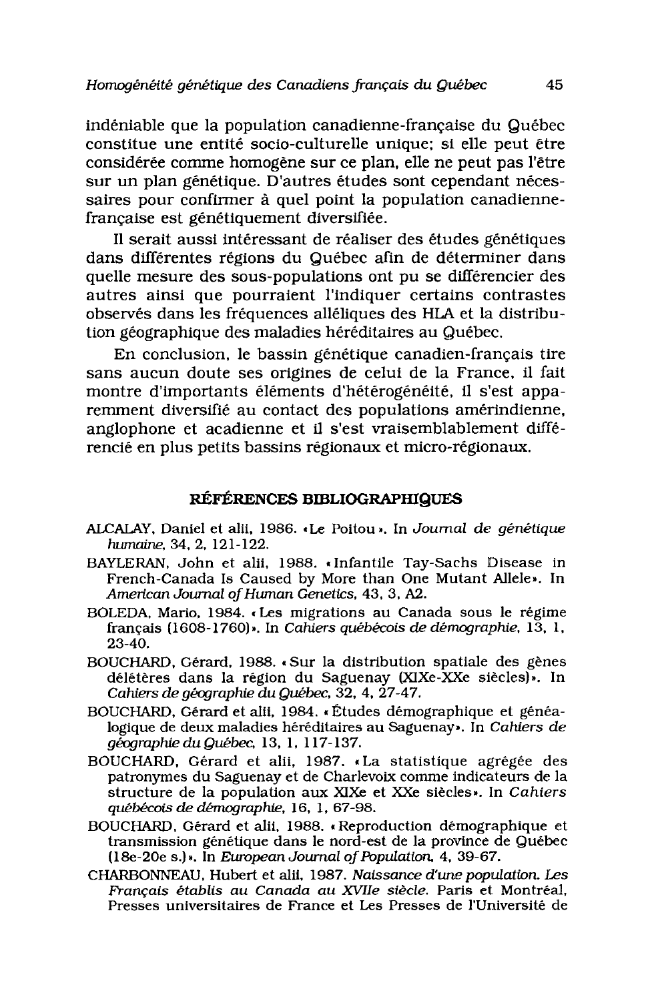indéniable que la population canadienne-française du Québec constitue une entité socio-culturelle unique; si elle peut être considérée comme homogène sur ce plan, elle ne peut pas l'être sur un plan génétique. D'autres études sont cependant nécessaires pour confirmer à quel point la population canadiennefrançaise est génétiquement diversifiée.

Il serait aussi intéressant de réaliser des études génétiques dans différentes régions du Québec afin de déterminer dans quelle mesure des sous-populations ont pu se différencier des autres ainsi que pourraient l'indiquer certains contrastes observés dans les fréquences alléliques des HLA et la distribution géographique des maladies héréditaires au Québec.

En conclusion, le bassin génétique canadien-français tire sans aucun doute ses origines de celui de la France, il fait montre d'importants éléments d'hétérogénéité, il s'est apparemment diversifié au contact des populations amérindienne, anglophone et acadienne et il s'est vraisemblablement différencié en plus petits bassins régionaux et micro-régionaux.

### RÉFÉRENCES BIBLIOGRAPHIQUES

- ALCALAY, Daniel et alii, 1986. «Le Poitou». In Journal de génétique humaine, 34, 2, 121-122.
- BAYLERAN, John et alii, 1988. «Infantile Tay-Sachs Disease in French-Canada Is Caused by More than One Mutant Allele». In American Journal of Human Genetics, 43, 3, A2.
- BOLEDA, Mario, 1984. «Les migrations au Canada sous le régime français (1608-1760)». In Cahiers québécois de démographie, 13, 1,  $23-40.$
- BOUCHARD, Gérard, 1988. «Sur la distribution spatiale des gènes délétères dans la région du Saguenay (XIXe-XXe siècles)». In Cahiers de géographie du Québec, 32, 4, 27-47.
- BOUCHARD, Gérard et alii, 1984. «Études démographique et généalogique de deux maladies héréditaires au Saguenay». In Cahiers de géographie du Québec, 13, 1, 117-137.
- BOUCHARD, Gérard et alii, 1987. «La statistique agrégée des patronymes du Saguenay et de Charlevoix comme indicateurs de la structure de la population aux XIXe et XXe siècles». In Cahiers québécois de démographie, 16, 1, 67-98.
- BOUCHARD, Gérard et alii, 1988. «Reproduction démographique et transmission génétique dans le nord-est de la province de Québec (18e-20e s.)». In European Journal of Population, 4, 39-67.
- CHARBONNEAU, Hubert et alii, 1987. Naissance d'une population. Les Français établis au Canada au XVIIe siècle. Paris et Montréal, Presses universitaires de France et Les Presses de l'Université de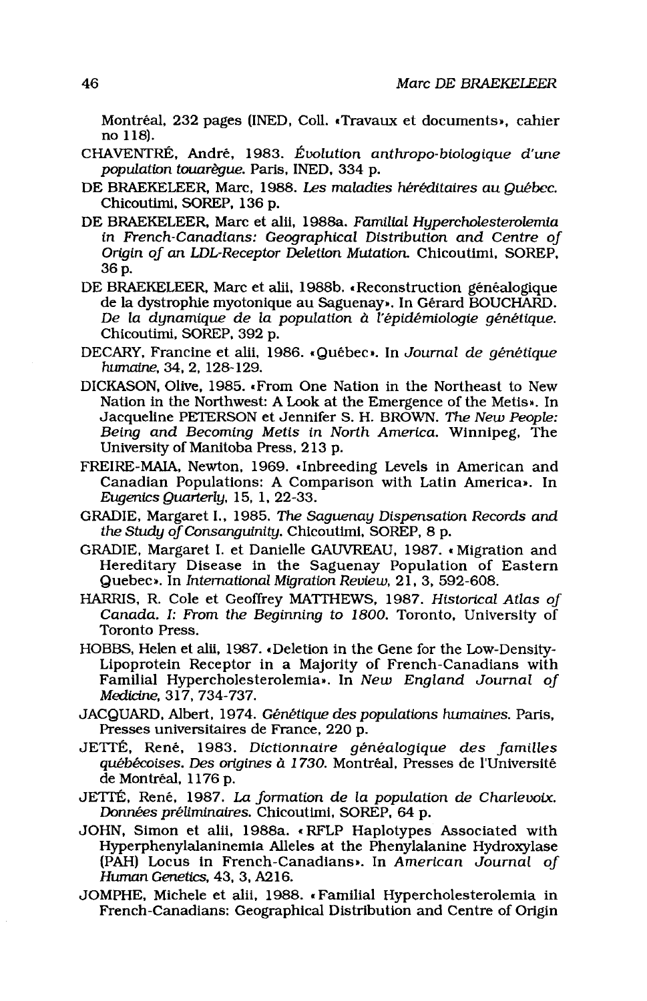Montréal, 232 pages (INED, Coll. «Travaux et documents», cahier no 118.

- CHAVENTRÉ, André, 1983. Évolution anthropo-biologique d'une population touarèque. Paris, INED, 334 p.
- DE BRAEKELEER, Marc, 1988. Les maladies héréditaires au Québec. Chicoutimi, SOREP, 136 p.
- DE BRAEKELEER, Marc et alii, 1988a, Familial Hupercholesterolemia in French-Canadians: Geographical Distribution and Centre of Origin of an LDL-Receptor Deletion Mutation. Chicoutimi, SOREP, 36 p.
- DE BRAEKELEER, Marc et alii, 1988b. «Reconstruction généalogique de la dystrophie myotonique au Saguenay». In Gérard BOUCHARD. De la dynamique de la population à l'épidémiologie génétique. Chicoutimi, SOREP, 392 p.
- DECARY, Francine et alii, 1986. «Québec». In Journal de génétique humaine, 34, 2, 128-129.
- DICKASON, Olive, 1985. «From One Nation in the Northeast to New Nation in the Northwest: A Look at the Emergence of the Metis». In Jacqueline PETERSON et Jennifer S. H. BROWN, The New People: Being and Becoming Metis in North America. Winnipeg, The University of Manitoba Press, 213 p.
- FREIRE-MAIA, Newton, 1969. «Inbreeding Levels in American and Canadian Populations: A Comparison with Latin America». In Eugenics Quarterly, 15, 1, 22-33.
- GRADIE, Margaret I., 1985. The Saquenay Dispensation Records and the Study of Consanguinity, Chicoutimi, SOREP, 8 p.
- GRADIE, Margaret I. et Danielle GAUVREAU, 1987. «Migration and Hereditary Disease in the Saguenay Population of Eastern Quebec». In International Migration Review, 21, 3, 592-608.
- HARRIS, R. Cole et Geoffrey MATTHEWS, 1987. Historical Atlas of Canada. I: From the Beginning to 1800. Toronto, University of Toronto Press.
- HOBBS, Helen et alii, 1987. «Deletion in the Gene for the Low-Density-Lipoprotein Receptor in a Majority of French-Canadians with Familial Hypercholesterolemia». In New England Journal of Medicine, 317, 734-737.
- JACQUARD, Albert, 1974. Génétique des populations humaines. Paris, Presses universitaires de France, 220 p.
- JETTÉ, René, 1983. Dictionnaire généalogique des familles québécoises. Des origines à 1730. Montréal, Presses de l'Université de Montréal, 1176 p.
- JETTÉ, René, 1987. La formation de la population de Charlevoix. Données préliminaires. Chicoutimi, SOREP, 64 p.
- JOHN, Simon et alii, 1988a. «RFLP Haplotypes Associated with Hyperphenylalaninemia Alleles at the Phenylalanine Hydroxylase (PAH) Locus in French-Canadians». In American Journal of Human Genetics, 43, 3, A216.
- JOMPHE, Michele et alii, 1988. «Familial Hypercholesterolemia in French-Canadians: Geographical Distribution and Centre of Origin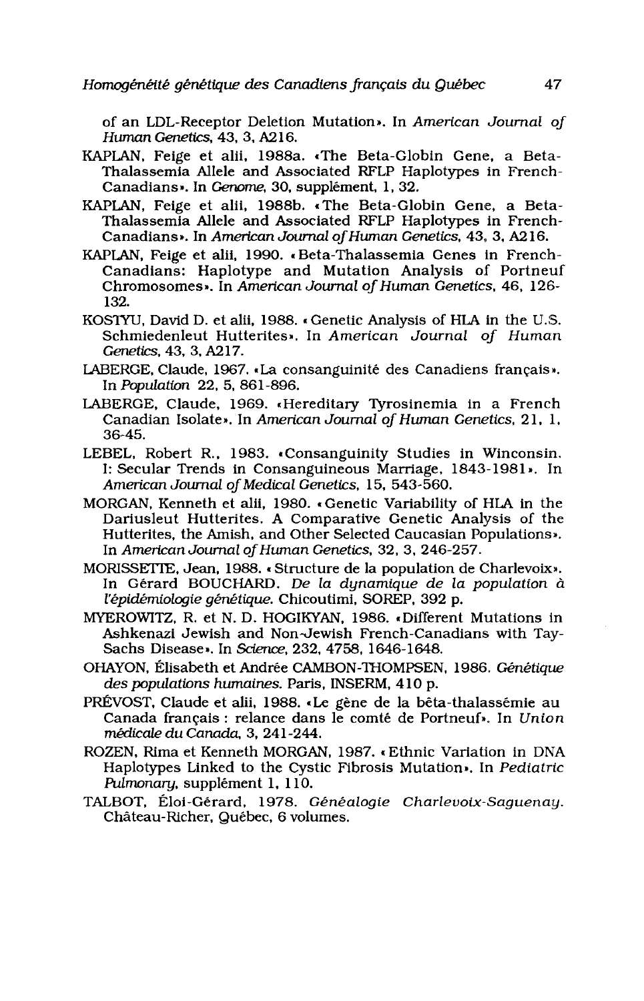of an LDL-Receptor Deletion Mutation». In American Journal of Human Genetics, 43, 3, A216.

- KAPLAN, Feige et alii, 1988a. «The Beta-Globin Gene, a Beta-Thalassemia Allele and Associated RFLP Haplotypes in French-Canadians». In Genome, 30, supplément, 1, 32.
- KAPLAN, Feige et alii, 1988b. «The Beta-Globin Gene, a Beta-Thalassemia Allele and Associated RFLP Haplotypes in French-Canadians». In American Journal of Human Genetics, 43, 3, A216.
- KAPLAN, Feige et alii, 1990. «Beta-Thalassemia Genes in French-Canadians: Haplotype and Mutation Analysis of Portneuf Chromosomes». In American Journal of Human Genetics, 46, 126-132.
- KOSTYU, David D. et alii, 1988. «Genetic Analysis of HLA in the U.S. Schmiedenleut Hutterites». In American Journal of Human Genetics. 43, 3, A217.
- LABERGE, Claude, 1967. «La consanguinité des Canadiens français». In Population 22, 5, 861-896.
- LABERGE, Claude, 1969. «Hereditary Tyrosinemia in a French Canadian Isolate». In American Journal of Human Genetics, 21, 1, 36-45.
- LEBEL, Robert R., 1983. «Consanguinity Studies in Winconsin. I: Secular Trends in Consanguineous Marriage, 1843-1981». In American Journal of Medical Genetics, 15, 543-560.
- MORGAN, Kenneth et alii, 1980. «Genetic Variability of HLA in the Dariusleut Hutterites. A Comparative Genetic Analysis of the Hutterites, the Amish, and Other Selected Caucasian Populations». In American Journal of Human Genetics, 32, 3, 246-257.
- MORISSETTE, Jean, 1988. «Structure de la population de Charlevoix». In Gérard BOUCHARD. De la dynamique de la population à l'épidémiologie génétique. Chicoutimi, SOREP, 392 p.
- MYEROWITZ, R. et N. D. HOGIKYAN, 1986. «Different Mutations in Ashkenazi Jewish and Non-Jewish French-Canadians with Tay-Sachs Disease». In Science, 232, 4758, 1646-1648.
- OHAYON, Élisabeth et Andrée CAMBON-THOMPSEN, 1986. Génétique des populations humaines. Paris, INSERM, 410 p.
- PRÉVOST, Claude et alii, 1988. «Le gène de la bêta-thalassémie au Canada français : relance dans le comté de Portneuf». In Union médicale du Canada, 3, 241-244.
- ROZEN, Rima et Kenneth MORGAN, 1987. «Ethnic Variation in DNA Haplotypes Linked to the Cystic Fibrosis Mutation». In Pediatric Pulmonary, supplément 1, 110.
- TALBOT, Éloi-Gérard, 1978. Généalogie Charlevoix-Saguenay. Château-Richer, Québec, 6 volumes.